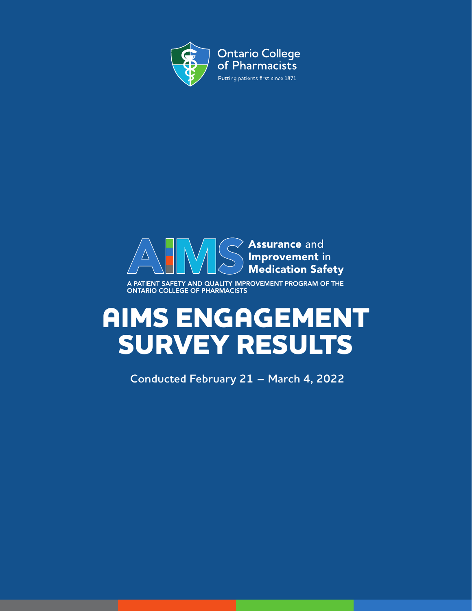



A PATIENT SAFETY AND QUALITY IMPROVEMENT PROGRAM OF THE ONTARIO COLLEGE OF PHARMACISTS

# **AIMS ENGAGEMENT SURVEY RESULTS**

 **Conducted February 21 – March 4, 2022**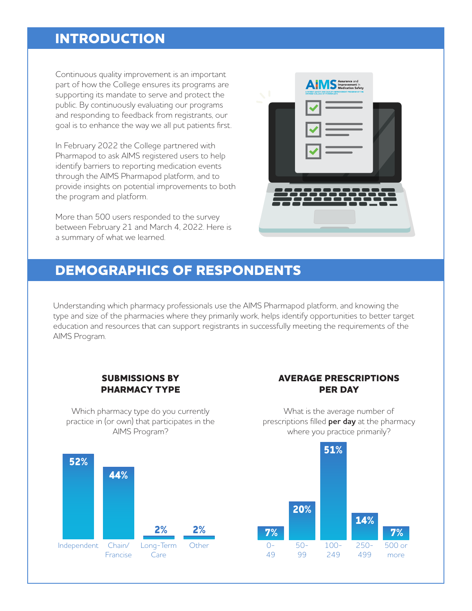### **INTRODUCTION**

Continuous quality improvement is an important part of how the College ensures its programs are supporting its mandate to serve and protect the public. By continuously evaluating our programs and responding to feedback from registrants, our goal is to enhance the way we all put patients first.

In February 2022 the College partnered with Pharmapod to ask AIMS registered users to help identify barriers to reporting medication events through the AIMS Pharmapod platform, and to provide insights on potential improvements to both the program and platform.

More than 500 users responded to the survey between February 21 and March 4, 2022. Here is a summary of what we learned.

| I   | AIMS Surance and<br>A PATIENT SAFETY AND QUALITY IMPROVEMENT PROGRAM OF THE ONTARIO COLLEGE OF PHARMACISTS |
|-----|------------------------------------------------------------------------------------------------------------|
| دیک |                                                                                                            |
|     |                                                                                                            |
|     |                                                                                                            |
|     |                                                                                                            |
|     |                                                                                                            |
|     |                                                                                                            |
|     |                                                                                                            |

### **DEMOGRAPHICS OF RESPONDENTS**

Understanding which pharmacy professionals use the AIMS Pharmapod platform, and knowing the type and size of the pharmacies where they primarily work, helps identify opportunities to better target education and resources that can support registrants in successfully meeting the requirements of the AIMS Program.

#### **SUBMISSIONS BY PHARMACY TYPE**

Which pharmacy type do you currently practice in (or own) that participates in the AIMS Program?



What is the average number of prescriptions filled **per day** at the pharmacy where you practice primarily?



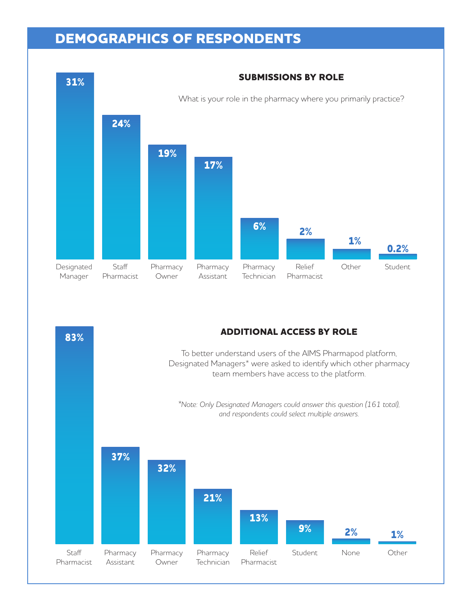# **DEMOGRAPHICS OF RESPONDENTS**



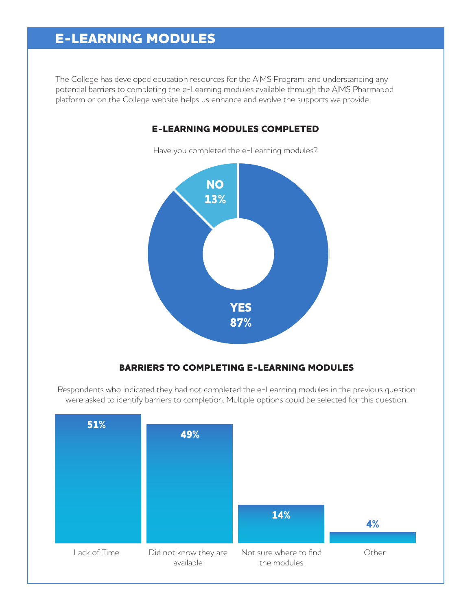# **E-LEARNING MODULES**

The College has developed education resources for the AIMS Program, and understanding any potential barriers to completing the e-Learning modules available through the AIMS Pharmapod platform or on the College website helps us enhance and evolve the supports we provide.



### **E-LEARNING MODULES COMPLETED**

Have you completed the e-Learning modules?

### **BARRIERS TO COMPLETING E-LEARNING MODULES**

Respondents who indicated they had not completed the e-Learning modules in the previous question were asked to identify barriers to completion. Multiple options could be selected for this question.

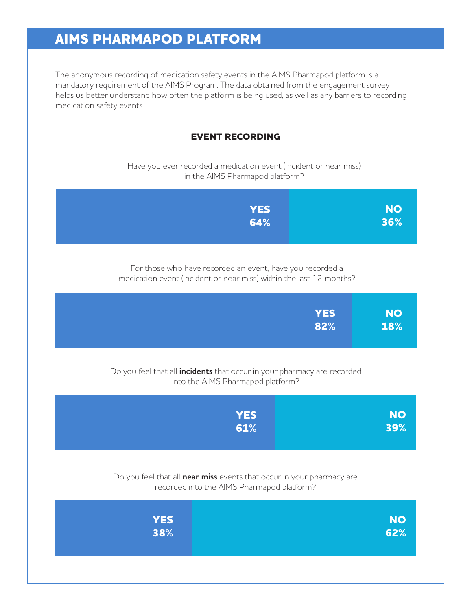# **AIMS PHARMAPOD PLATFORM**

The anonymous recording of medication safety events in the AIMS Pharmapod platform is a mandatory requirement of the AIMS Program. The data obtained from the engagement survey helps us better understand how often the platform is being used, as well as any barriers to recording medication safety events.

### **EVENT RECORDING**

Have you ever recorded a medication event (incident or near miss) in the AIMS Pharmapod platform?

| <b>YES</b>                                                                                                                       | <b>NO</b> |
|----------------------------------------------------------------------------------------------------------------------------------|-----------|
| 64%                                                                                                                              | 36%       |
| For those who have recorded an event, have you recorded a<br>medication event (incident or near miss) within the last 12 months? |           |
| <b>YES</b>                                                                                                                       | <b>NO</b> |
| 82%                                                                                                                              | 18%       |
| Do you feel that all incidents that occur in your pharmacy are recorded<br>into the AIMS Pharmapod platform?                     |           |
| <b>YES</b>                                                                                                                       | <b>NO</b> |
| 61%                                                                                                                              | 39%       |
| Do you feel that all near miss events that occur in your pharmacy are<br>recorded into the AIMS Pharmapod platform?              |           |
| <b>YES</b>                                                                                                                       | <b>NO</b> |
| 38%                                                                                                                              | 62%       |
|                                                                                                                                  |           |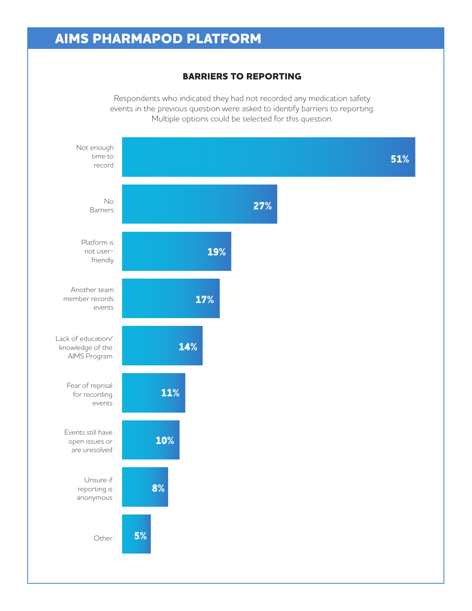### **AIMS PHARMAPOD PLATFORM**

#### **BARRIERS TO REPORTING**

Respondents who indicated they had not recorded any medication safety events in the previous question were asked to identify barriers to reporting. Multiple options could be selected for this question.

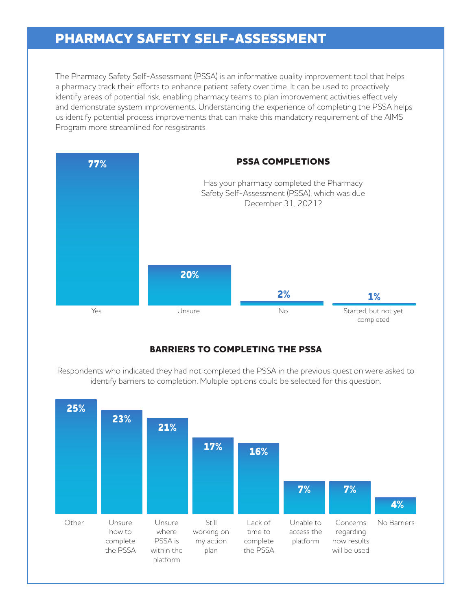### **PHARMACY SAFETY SELF-ASSESSMENT**

The Pharmacy Safety Self-Assessment (PSSA) is an informative quality improvement tool that helps a pharmacy track their efforts to enhance patient safety over time. It can be used to proactively identify areas of potential risk, enabling pharmacy teams to plan improvement activities effectively and demonstrate system improvements. Understanding the experience of completing the PSSA helps us identify potential process improvements that can make this mandatory requirement of the AIMS Program more streamlined for resgistrants.



### **BARRIERS TO COMPLETING THE PSSA**

Respondents who indicated they had not completed the PSSA in the previous question were asked to identify barriers to completion. Multiple options could be selected for this question.